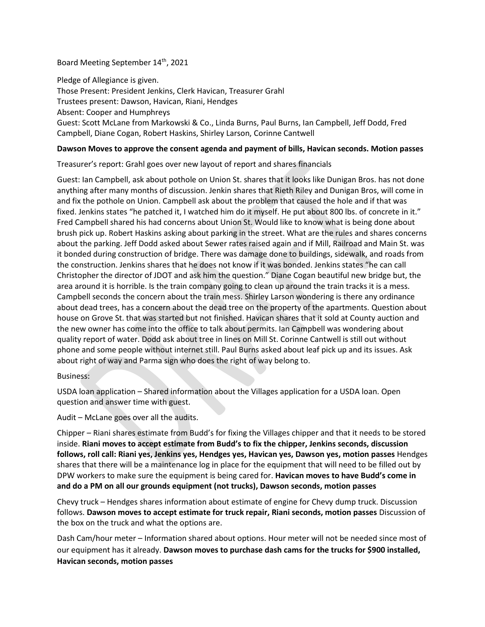## Board Meeting September 14<sup>th</sup>, 2021

Pledge of Allegiance is given. Those Present: President Jenkins, Clerk Havican, Treasurer Grahl Trustees present: Dawson, Havican, Riani, Hendges Absent: Cooper and Humphreys Guest: Scott McLane from Markowski & Co., Linda Burns, Paul Burns, Ian Campbell, Jeff Dodd, Fred Campbell, Diane Cogan, Robert Haskins, Shirley Larson, Corinne Cantwell

# **Dawson Moves to approve the consent agenda and payment of bills, Havican seconds. Motion passes**

Treasurer's report: Grahl goes over new layout of report and shares financials

Guest: Ian Campbell, ask about pothole on Union St. shares that it looks like Dunigan Bros. has not done anything after many months of discussion. Jenkin shares that Rieth Riley and Dunigan Bros, will come in and fix the pothole on Union. Campbell ask about the problem that caused the hole and if that was fixed. Jenkins states "he patched it, I watched him do it myself. He put about 800 lbs. of concrete in it." Fred Campbell shared his had concerns about Union St. Would like to know what is being done about brush pick up. Robert Haskins asking about parking in the street. What are the rules and shares concerns about the parking. Jeff Dodd asked about Sewer rates raised again and if Mill, Railroad and Main St. was it bonded during construction of bridge. There was damage done to buildings, sidewalk, and roads from the construction. Jenkins shares that he does not know if it was bonded. Jenkins states "he can call Christopher the director of JDOT and ask him the question." Diane Cogan beautiful new bridge but, the area around it is horrible. Is the train company going to clean up around the train tracks it is a mess. Campbell seconds the concern about the train mess. Shirley Larson wondering is there any ordinance about dead trees, has a concern about the dead tree on the property of the apartments. Question about house on Grove St. that was started but not finished. Havican shares that it sold at County auction and the new owner has come into the office to talk about permits. Ian Campbell was wondering about quality report of water. Dodd ask about tree in lines on Mill St. Corinne Cantwell is still out without phone and some people without internet still. Paul Burns asked about leaf pick up and its issues. Ask about right of way and Parma sign who does the right of way belong to.

### Business:

USDA loan application – Shared information about the Villages application for a USDA loan. Open question and answer time with guest.

### Audit – McLane goes over all the audits.

Chipper – Riani shares estimate from Budd's for fixing the Villages chipper and that it needs to be stored inside. **Riani moves to accept estimate from Budd's to fix the chipper, Jenkins seconds, discussion follows, roll call: Riani yes, Jenkins yes, Hendges yes, Havican yes, Dawson yes, motion passes** Hendges shares that there will be a maintenance log in place for the equipment that will need to be filled out by DPW workers to make sure the equipment is being cared for. **Havican moves to have Budd's come in and do a PM on all our grounds equipment (not trucks), Dawson seconds, motion passes**

Chevy truck – Hendges shares information about estimate of engine for Chevy dump truck. Discussion follows. **Dawson moves to accept estimate for truck repair, Riani seconds, motion passes** Discussion of the box on the truck and what the options are.

Dash Cam/hour meter – Information shared about options. Hour meter will not be needed since most of our equipment has it already. **Dawson moves to purchase dash cams for the trucks for \$900 installed, Havican seconds, motion passes**